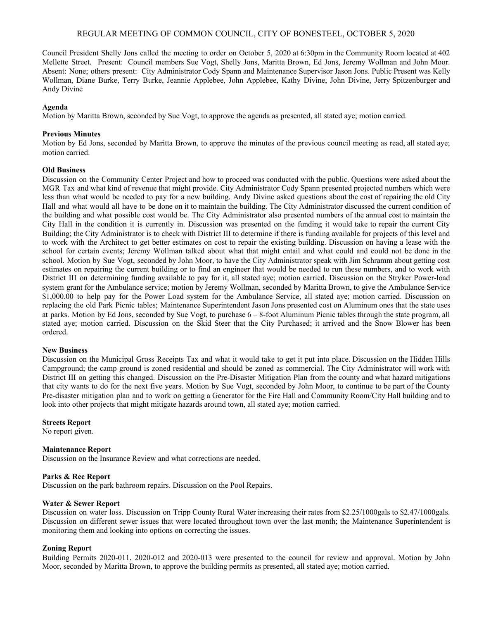## REGULAR MEETING OF COMMON COUNCIL, CITY OF BONESTEEL, OCTOBER 5, 2020

Council President Shelly Jons called the meeting to order on October 5, 2020 at 6:30pm in the Community Room located at 402 Mellette Street. Present: Council members Sue Vogt, Shelly Jons, Maritta Brown, Ed Jons, Jeremy Wollman and John Moor. Absent: None; others present: City Administrator Cody Spann and Maintenance Supervisor Jason Jons. Public Present was Kelly Wollman, Diane Burke, Terry Burke, Jeannie Applebee, John Applebee, Kathy Divine, John Divine, Jerry Spitzenburger and Andy Divine

## **Agenda**

Motion by Maritta Brown, seconded by Sue Vogt, to approve the agenda as presented, all stated aye; motion carried.

## **Previous Minutes**

Motion by Ed Jons, seconded by Maritta Brown, to approve the minutes of the previous council meeting as read, all stated aye; motion carried.

## **Old Business**

Discussion on the Community Center Project and how to proceed was conducted with the public. Questions were asked about the MGR Tax and what kind of revenue that might provide. City Administrator Cody Spann presented projected numbers which were less than what would be needed to pay for a new building. Andy Divine asked questions about the cost of repairing the old City Hall and what would all have to be done on it to maintain the building. The City Administrator discussed the current condition of the building and what possible cost would be. The City Administrator also presented numbers of the annual cost to maintain the City Hall in the condition it is currently in. Discussion was presented on the funding it would take to repair the current City Building; the City Administrator is to check with District III to determine if there is funding available for projects of this level and to work with the Architect to get better estimates on cost to repair the existing building. Discussion on having a lease with the school for certain events; Jeremy Wollman talked about what that might entail and what could and could not be done in the school. Motion by Sue Vogt, seconded by John Moor, to have the City Administrator speak with Jim Schramm about getting cost estimates on repairing the current building or to find an engineer that would be needed to run these numbers, and to work with District III on determining funding available to pay for it, all stated aye; motion carried. Discussion on the Stryker Power-load system grant for the Ambulance service; motion by Jeremy Wollman, seconded by Maritta Brown, to give the Ambulance Service \$1,000.00 to help pay for the Power Load system for the Ambulance Service, all stated aye; motion carried. Discussion on replacing the old Park Picnic tables; Maintenance Superintendent Jason Jons presented cost on Aluminum ones that the state uses at parks. Motion by Ed Jons, seconded by Sue Vogt, to purchase 6 – 8-foot Aluminum Picnic tables through the state program, all stated aye; motion carried. Discussion on the Skid Steer that the City Purchased; it arrived and the Snow Blower has been ordered.

### **New Business**

Discussion on the Municipal Gross Receipts Tax and what it would take to get it put into place. Discussion on the Hidden Hills Campground; the camp ground is zoned residential and should be zoned as commercial. The City Administrator will work with District III on getting this changed. Discussion on the Pre-Disaster Mitigation Plan from the county and what hazard mitigations that city wants to do for the next five years. Motion by Sue Vogt, seconded by John Moor, to continue to be part of the County Pre-disaster mitigation plan and to work on getting a Generator for the Fire Hall and Community Room/City Hall building and to look into other projects that might mitigate hazards around town, all stated aye; motion carried.

### **Streets Report**

No report given.

### **Maintenance Report**

Discussion on the Insurance Review and what corrections are needed.

### **Parks & Rec Report**

Discussion on the park bathroom repairs. Discussion on the Pool Repairs.

### **Water & Sewer Report**

Discussion on water loss. Discussion on Tripp County Rural Water increasing their rates from \$2.25/1000gals to \$2.47/1000gals. Discussion on different sewer issues that were located throughout town over the last month; the Maintenance Superintendent is monitoring them and looking into options on correcting the issues.

## **Zoning Report**

Building Permits 2020-011, 2020-012 and 2020-013 were presented to the council for review and approval. Motion by John Moor, seconded by Maritta Brown, to approve the building permits as presented, all stated aye; motion carried.